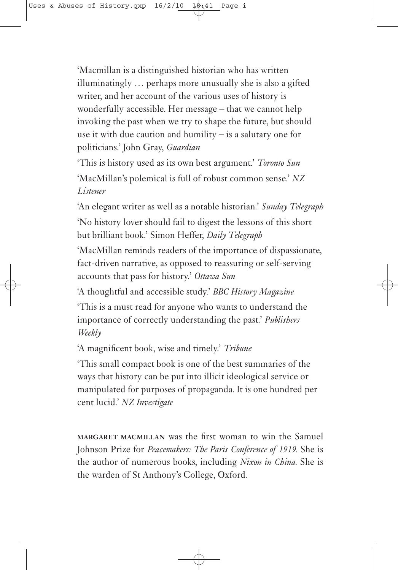'Macmillan is a distinguished historian who has written illuminatingly … perhaps more unusually she is also a gifted writer, and her account of the various uses of history is wonderfully accessible. Her message – that we cannot help invoking the past when we try to shape the future, but should use it with due caution and humility  $-$  is a salutary one for politicians.' John Gray, *Guardian*

'This is history used as its own best argument.' *Toronto Sun*

'MacMillan's polemical is full of robust common sense.' *NZ Listener*

'An elegant writer as well as a notable historian.' *Sunday Telegraph* 'No history lover should fail to digest the lessons of this short but brilliant book.' Simon Heffer, *Daily Telegraph*

'MacMillan reminds readers of the importance of dispassionate, fact-driven narrative, as opposed to reassuring or self-serving accounts that pass for history.' *Ottawa Sun*

'A thoughtful and accessible study.' *BBC History Magazine*

'This is a must read for anyone who wants to understand the importance of correctly understanding the past.' *Publishers Weekly*

'A magnificent book, wise and timely.' *Tribune*

'This small compact book is one of the best summaries of the ways that history can be put into illicit ideological service or manipulated for purposes of propaganda. It is one hundred per cent lucid.' *NZ Investigate*

**MARGARET MACMILLAN** was the first woman to win the Samuel Johnson Prize for *Peacemakers: The Paris Conference of 1919.* She is the author of numerous books, including *Nixon in China*. She is the warden of St Anthony's College, Oxford.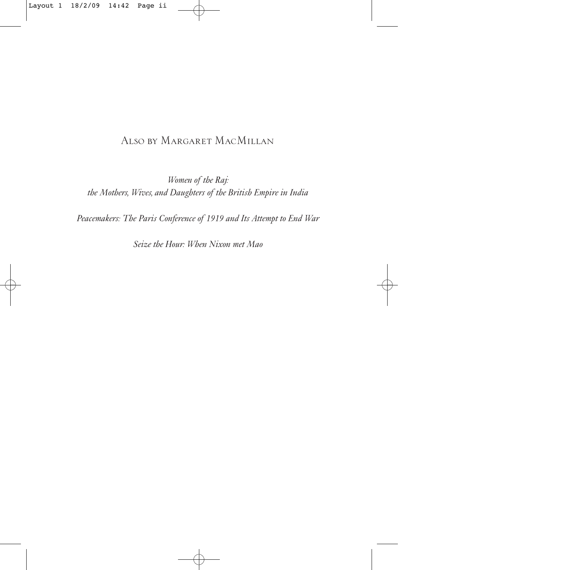#### Also by Margaret MacMillan

*Women of the Raj: the Mothers, Wives, and Daughters of the British Empire in India*

*Peacemakers: The Paris Conference of 1919 and Its Attempt to End War*

*Seize the Hour: When Nixon met Mao*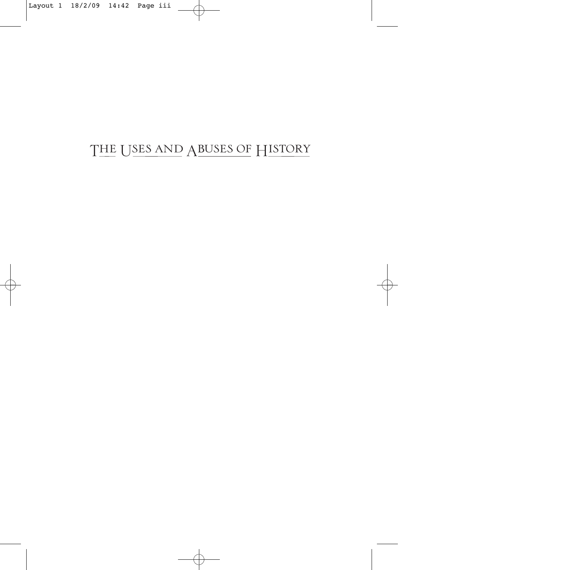## THE USES AND ABUSES OF HISTORY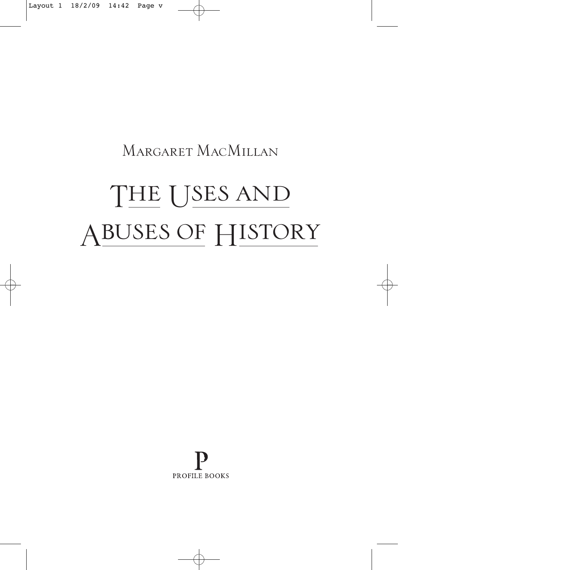## Margaret MacMillan

# THE USES AND Abuses of History

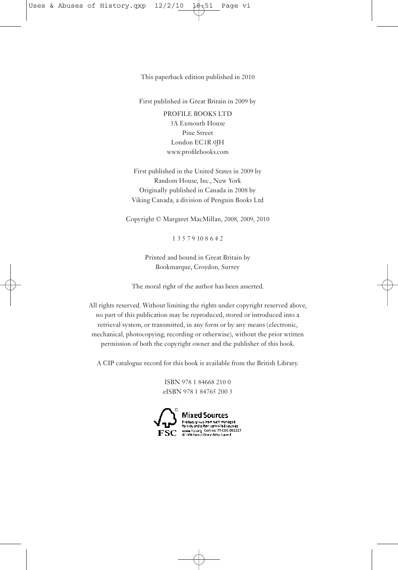This paperback edition published in 2010

First published in Great Britain in 2009 by

PROFILE BOOKS LTD 3A Exmouth House Pine Street London EC1R 0JH www.profilebooks.com

First published in the United States in 2009 by Random House, Inc., New York Originally published in Canada in 2008 by Viking Canada, a division of Penguin Books Ltd

Copyright © Margaret MacMillan, 2008, 2009, 2010

13579 10 864 2

Printed and bound in Great Britain by Bookmarque, Croydon, Surrey

The moral right of the author has been asserted.

All rights reserved. Without limiting the rights under copyright reserved above, no part of this publication may be reproduced, stored or introduced into a retrieval system, or transmitted, in any form or by any means (electronic, mechanical, photocopying, recording or otherwise), without the prior written permission of both the copyright owner and the publisher of this book.

A CIP catalogue record for this book is available from the British Library.

ISBN 978 1 84668 210 0 eISBN 978 1 84765 200 3

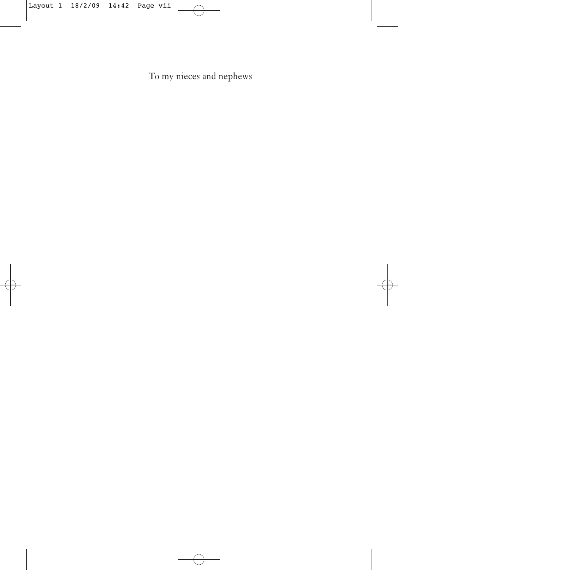To my nieces and nephews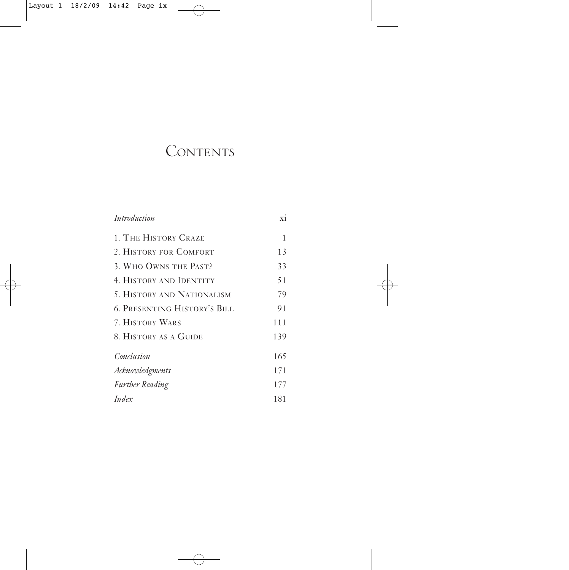### CONTENTS

| Introduction                        | X <sub>1</sub> |  |
|-------------------------------------|----------------|--|
| 1. THE HISTORY CRAZE                | 1              |  |
| 2. HISTORY FOR COMFORT              | 13             |  |
| 3. WHO OWNS THE PAST?               | 33             |  |
| 4. HISTORY AND IDENTITY             | 51             |  |
| <b>5. HISTORY AND NATIONALISM</b>   | 79             |  |
| <b>6. PRESENTING HISTORY'S BILL</b> | 91             |  |
| 7. HISTORY WARS                     | 111            |  |
| 8. HISTORY AS A GUIDE               | 139            |  |
| Conclusion                          | 165            |  |
| Acknowledgments                     | 171            |  |
| <b>Further Reading</b>              | 177            |  |
| Index                               | 181            |  |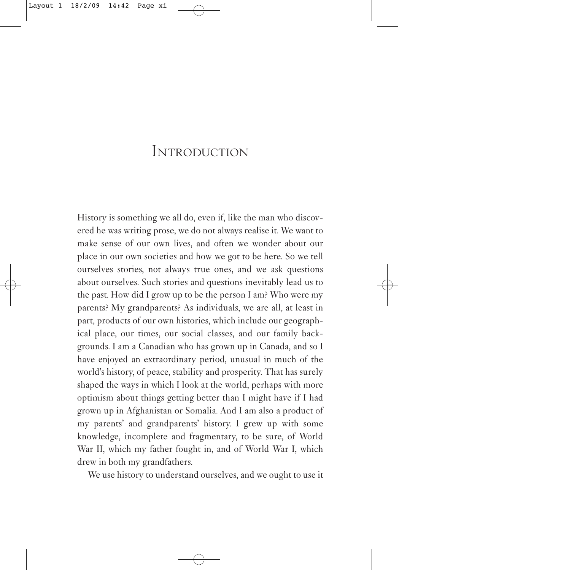### Introduction

History is something we all do, even if, like the man who discovered he was writing prose, we do not always realise it. We want to make sense of our own lives, and often we wonder about our place in our own societies and how we got to be here. So we tell ourselves stories, not always true ones, and we ask questions about ourselves. Such stories and questions inevitably lead us to the past. How did I grow up to be the person I am? Who were my parents? My grandparents? As individuals, we are all, at least in part, products of our own histories, which include our geographical place, our times, our social classes, and our family backgrounds. I am a Canadian who has grown up in Canada, and so I have enjoyed an extraordinary period, unusual in much of the world's history, of peace, stability and prosperity. That has surely shaped the ways in which I look at the world, perhaps with more optimism about things getting better than I might have if I had grown up in Afghanistan or Somalia. And I am also a product of my parents' and grandparents' history. I grew up with some knowledge, incomplete and fragmentary, to be sure, of World War II, which my father fought in, and of World War I, which drew in both my grandfathers.

We use history to understand ourselves, and we ought to use it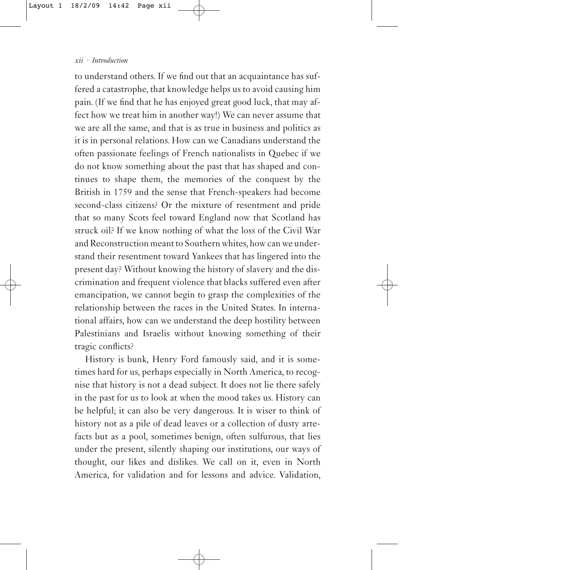to understand others. If we find out that an acquaintance has suffered a catastrophe, that knowledge helps us to avoid causing him pain. (If we find that he has enjoyed great good luck, that may affect how we treat him in another way!) We can never assume that we are all the same, and that is as true in business and politics as it is in personal relations. How can we Canadians understand the often passionate feelings of French nationalists in Quebec if we do not know something about the past that has shaped and continues to shape them, the memories of the conquest by the British in 1759 and the sense that French-speakers had become second-class citizens? Or the mixture of resentment and pride that so many Scots feel toward England now that Scotland has struck oil? If we know nothing of what the loss of the Civil War and Reconstruction meant to Southern whites, how can we under stand their resentment toward Yankees that has lingered into the present day? Without knowing the history of slavery and the discrimination and frequent violence that blacks suffered even after emancipation, we cannot begin to grasp the complexities of the relationship between the races in the United States. In international affairs, how can we understand the deep hostility between Palestinians and Israelis without knowing something of their tragic conflicts?

History is bunk, Henry Ford famously said, and it is sometimes hard for us, perhaps especially in North America, to recognise that history is not a dead subject. It does not lie there safely in the past for us to look at when the mood takes us. History can be helpful; it can also be very dangerous. It is wiser to think of history not as a pile of dead leaves or a collection of dusty artefacts but as a pool, sometimes benign, often sulfurous, that lies under the present, silently shaping our institutions, our ways of thought, our likes and dislikes. We call on it, even in North America, for validation and for lessons and advice. Validation,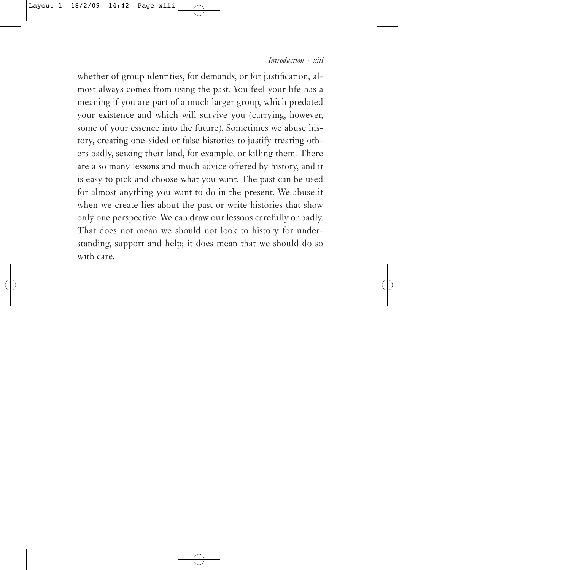whether of group identities, for demands, or for justification, almost always comes from using the past. You feel your life has a meaning if you are part of a much larger group, which predated your existence and which will survive you (carrying, however, some of your essence into the future). Sometimes we abuse history, creating one-sided or false histories to justify treating others badly, seizing their land, for example, or killing them. There are also many lessons and much advice offered by history, and it is easy to pick and choose what you want. The past can be used for almost anything you want to do in the present. We abuse it when we create lies about the past or write histories that show only one perspective. We can draw our lessons carefully or badly. That does not mean we should not look to history for understanding, support and help; it does mean that we should do so with care.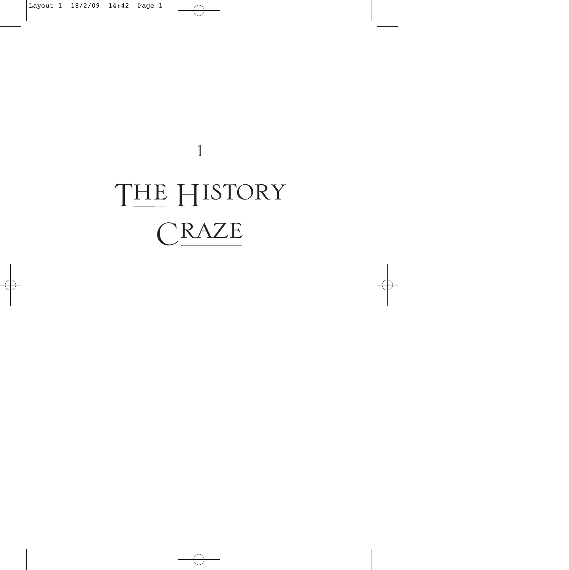1 THE HISTORY CRAZE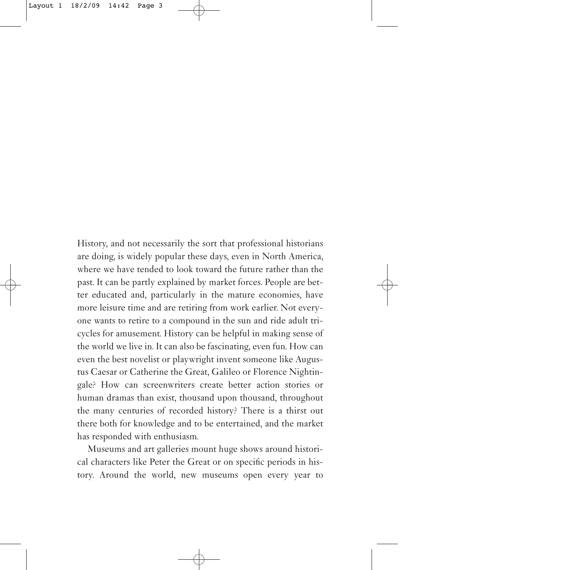History, and not necessarily the sort that professional historians are doing, is widely popular these days, even in North America, where we have tended to look toward the future rather than the past. It can be partly explained by market forces. People are better educated and, particularly in the mature economies, have more leisure time and are retiring from work earlier. Not everyone wants to retire to a compound in the sun and ride adult tricycles for amusement. History can be helpful in making sense of the world we live in. It can also be fascinating, even fun. How can even the best novelist or playwright invent someone like Augustus Caesar or Catherine the Great, Galileo or Florence Nightingale? How can screenwriters create better action stories or human dramas than exist, thousand upon thousand, throughout the many centuries of recorded history? There is a thirst out there both for knowledge and to be entertained, and the market has responded with enthusiasm.

Museums and art galleries mount huge shows around historical characters like Peter the Great or on specific periods in history. Around the world, new museums open every year to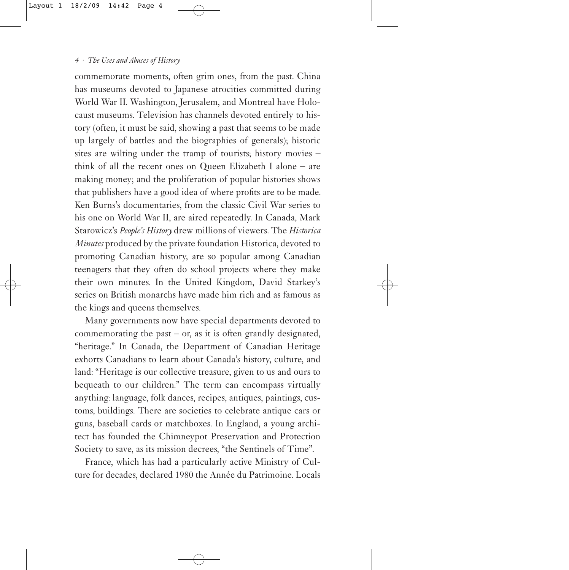commemorate moments, often grim ones, from the past. China has museums devoted to Japanese atrocities committed during World War II. Washington, Jerusalem, and Montreal have Holocaust museums. Television has channels devoted entirely to history (often, it must be said, showing a past that seems to be made up largely of battles and the biographies of generals); historic sites are wilting under the tramp of tourists; history movies – think of all the recent ones on Queen Elizabeth I alone – are making money; and the proliferation of popular histories shows that publishers have a good idea of where profits are to be made. Ken Burns's documentaries, from the classic Civil War series to his one on World War II, are aired repeatedly. In Canada, Mark Starowicz's *People's History* drew millions of viewers. The *Historica Minutes* produced by the private foundation Historica, devoted to promoting Canadian history, are so popular among Canadian teenagers that they often do school projects where they make their own minutes. In the United Kingdom, David Starkey's series on British monarchs have made him rich and as famous as the kings and queens themselves.

Many governments now have special departments devoted to commemorating the past  $-$  or, as it is often grandly designated, "heritage." In Canada, the Department of Canadian Heritage exhorts Canadians to learn about Canada's history, culture, and land: "Heritage is our collective treasure, given to us and ours to bequeath to our children." The term can encompass virtually anything: language, folk dances, recipes, antiques, paintings, customs, buildings. There are societies to celebrate antique cars or guns, baseball cards or matchboxes. In England, a young architect has founded the Chimneypot Preservation and Protection Society to save, as its mission decrees, "the Sentinels of Time".

France, which has had a particularly active Ministry of Culture for decades, declared 1980 the Année du Patrimoine. Locals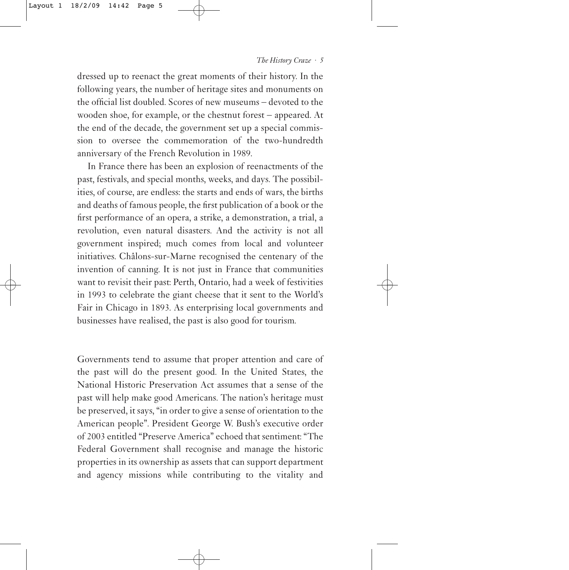dressed up to reenact the great moments of their history. In the following years, the number of heritage sites and monuments on the official list doubled. Scores of new museums – devoted to the wooden shoe, for example, or the chestnut forest – appeared. At the end of the decade, the government set up a special commission to oversee the commemoration of the two-hundredth anniversary of the French Revolution in 1989.

In France there has been an explosion of reenactments of the past, festivals, and special months, weeks, and days. The possibilities, of course, are endless: the starts and ends of wars, the births and deaths of famous people, the first publication of a book or the first performance of an opera, a strike, a demonstration, a trial, a revolution, even natural disasters. And the activity is not all government inspired; much comes from local and volunteer initiatives. Châlons-sur-Marne recognised the centenary of the invention of canning. It is not just in France that communities want to revisit their past: Perth, Ontario, had a week of festivities in 1993 to celebrate the giant cheese that it sent to the World's Fair in Chicago in 1893. As enterprising local governments and businesses have realised, the past is also good for tourism.

Governments tend to assume that proper attention and care of the past will do the present good. In the United States, the National Historic Preservation Act assumes that a sense of the past will help make good Americans. The nation's heritage must be preserved, it says, "in order to give a sense of orientation to the American people". President George W. Bush's executive order of 2003 entitled "Preserve America" echoed that sentiment: "The Federal Government shall recognise and manage the historic properties in its ownership as assets that can support department and agency missions while contributing to the vitality and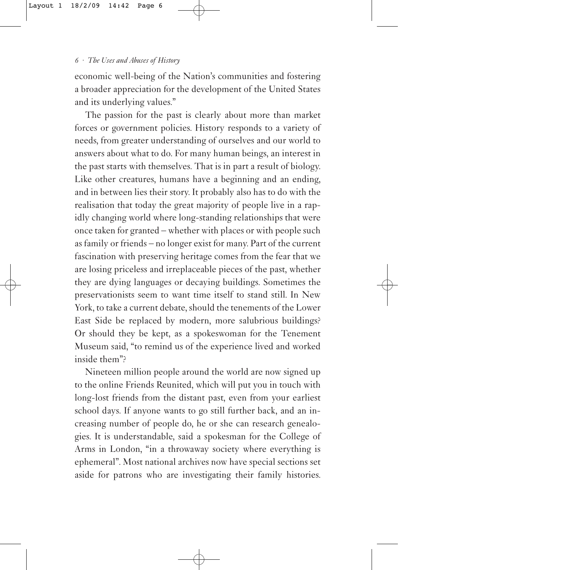economic well-being of the Nation's communities and fostering a broader appreciation for the development of the United States and its underlying values."

The passion for the past is clearly about more than market forces or government policies. History responds to a variety of needs, from greater understanding of ourselves and our world to answers about what to do. For many human beings, an interest in the past starts with themselves. That is in part a result of biology. Like other creatures, humans have a beginning and an ending, and in between lies their story. It probably also has to do with the realisation that today the great majority of people live in a rapidly changing world where long-standing relationships that were once taken for granted – whether with places or with people such as family or friends – no longer exist for many. Part of the current fascination with preserving heritage comes from the fear that we are losing priceless and irreplaceable pieces of the past, whether they are dying languages or decaying buildings. Sometimes the preservationists seem to want time itself to stand still. In New York, to take a current debate, should the tenements of the Lower East Side be replaced by modern, more salubrious buildings? Or should they be kept, as a spokeswoman for the Tenement Museum said, "to remind us of the experience lived and worked inside them"?

Nineteen million people around the world are now signed up to the online Friends Reunited, which will put you in touch with long-lost friends from the distant past, even from your earliest school days. If anyone wants to go still further back, and an increasing number of people do, he or she can research genealogies. It is understandable, said a spokesman for the College of Arms in London, "in a throwaway society where everything is ephemeral". Most national archives now have special sections set aside for patrons who are investigating their family histories.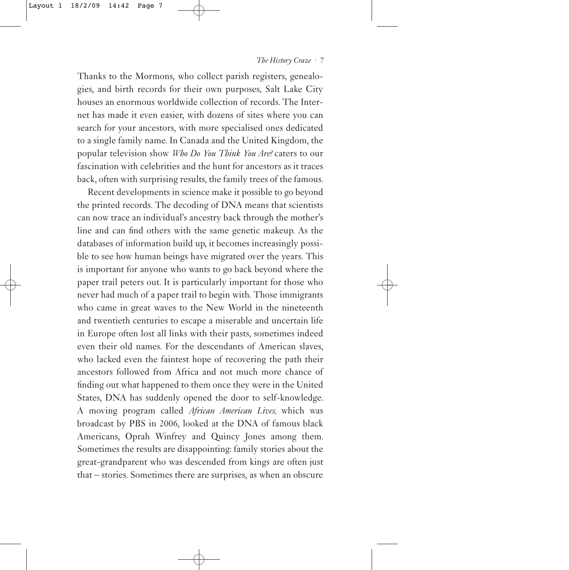Thanks to the Mormons, who collect parish registers, genealogies, and birth records for their own purposes, Salt Lake City houses an enormous worldwide collection of records. The Internet has made it even easier, with dozens of sites where you can search for your ancestors, with more specialised ones dedicated to a single family name. In Canada and the United Kingdom, the popular television show *Who Do You Think You Are?* caters to our fascination with celebrities and the hunt for ancestors as it traces back, often with surprising results, the family trees of the famous.

Recent developments in science make it possible to go beyond the printed records. The decoding of DNA means that scientists can now trace an individual's ancestry back through the mother's line and can find others with the same genetic makeup. As the databases of information build up, it becomes increasingly possible to see how human beings have migrated over the years. This is important for anyone who wants to go back beyond where the paper trail peters out. It is particularly important for those who never had much of a paper trail to begin with. Those immigrants who came in great waves to the New World in the nineteenth and twentieth centuries to escape a miserable and uncertain life in Europe often lost all links with their pasts, sometimes indeed even their old names. For the descendants of American slaves, who lacked even the faintest hope of recovering the path their ancestors followed from Africa and not much more chance of finding out what happened to them once they were in the United States, DNA has suddenly opened the door to self-knowledge. A moving program called *African American Lives,* which was broadcast by PBS in 2006, looked at the DNA of famous black Americans, Oprah Winfrey and Quincy Jones among them. Sometimes the results are disappointing: family stories about the great-grandparent who was descended from kings are often just that – stories. Sometimes there are surprises, as when an obscure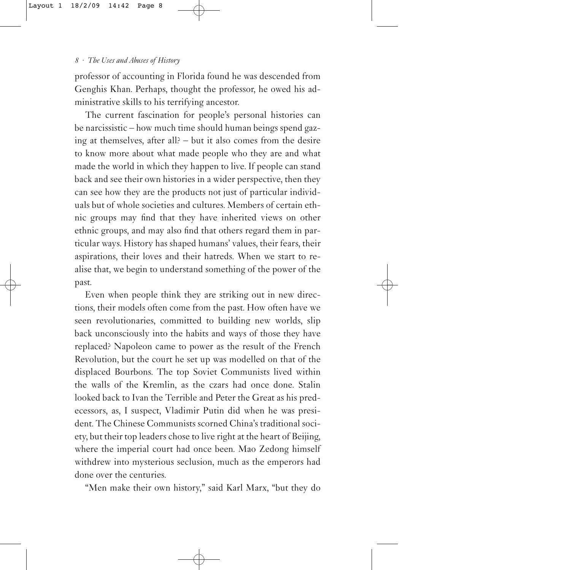professor of accounting in Florida found he was descended from Genghis Khan. Perhaps, thought the professor, he owed his administrative skills to his terrifying ancestor.

The current fascination for people's personal histories can be narcissistic – how much time should human beings spend gazing at themselves, after all? – but it also comes from the desire to know more about what made people who they are and what made the world in which they happen to live. If people can stand back and see their own histories in a wider perspective, then they can see how they are the products not just of particular individuals but of whole societies and cultures. Members of certain ethnic groups may find that they have inherited views on other ethnic groups, and may also find that others regard them in particular ways. History has shaped humans' values, their fears, their aspirations, their loves and their hatreds. When we start to realise that, we begin to understand something of the power of the past.

Even when people think they are striking out in new directions, their models often come from the past. How often have we seen revolutionaries, committed to building new worlds, slip back unconsciously into the habits and ways of those they have replaced? Napoleon came to power as the result of the French Revolution, but the court he set up was modelled on that of the displaced Bourbons. The top Soviet Communists lived within the walls of the Kremlin, as the czars had once done. Stalin looked back to Ivan the Terrible and Peter the Great as his predecessors, as, I suspect, Vladimir Putin did when he was president. The Chinese Communists scorned China's traditional society, but their top leaders chose to live right at the heart of Beijing, where the imperial court had once been. Mao Zedong himself withdrew into mysterious seclusion, much as the emperors had done over the centuries.

"Men make their own history," said Karl Marx, "but they do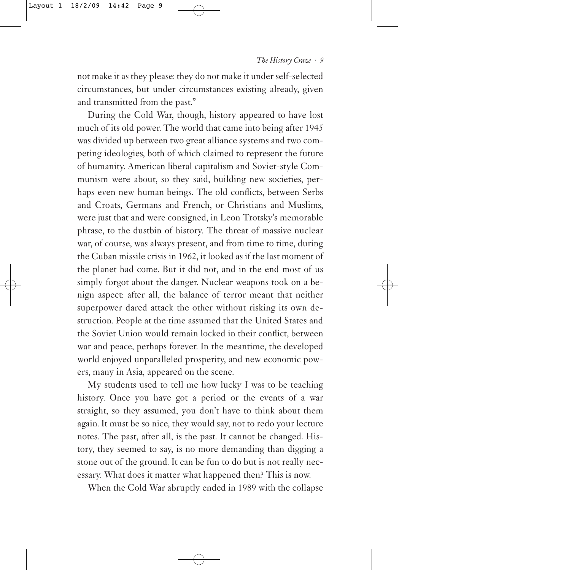not make it as they please: they do not make it under self-selected circumstances, but under circumstances existing already, given and transmitted from the past."

During the Cold War, though, history appeared to have lost much of its old power. The world that came into being after 1945 was divided up between two great alliance systems and two competing ideologies, both of which claimed to represent the future of humanity. American liberal capitalism and Soviet-style Communism were about, so they said, building new societies, perhaps even new human beings. The old conflicts, between Serbs and Croats, Germans and French, or Christians and Muslims, were just that and were consigned, in Leon Trotsky's memorable phrase, to the dustbin of history. The threat of massive nuclear war, of course, was always present, and from time to time, during the Cuban missile crisis in 1962, it looked as if the last moment of the planet had come. But it did not, and in the end most of us simply forgot about the danger. Nuclear weapons took on a benign aspect: after all, the balance of terror meant that neither superpower dared attack the other without risking its own destruction. People at the time assumed that the United States and the Soviet Union would remain locked in their conflict, between war and peace, perhaps forever. In the meantime, the developed world enjoyed unparalleled prosperity, and new economic powers, many in Asia, appeared on the scene.

My students used to tell me how lucky I was to be teaching history. Once you have got a period or the events of a war straight, so they assumed, you don't have to think about them again. It must be so nice, they would say, not to redo your lecture notes. The past, after all, is the past. It cannot be changed. History, they seemed to say, is no more demanding than digging a stone out of the ground. It can be fun to do but is not really necessary. What does it matter what happened then? This is now.

When the Cold War abruptly ended in 1989 with the collapse